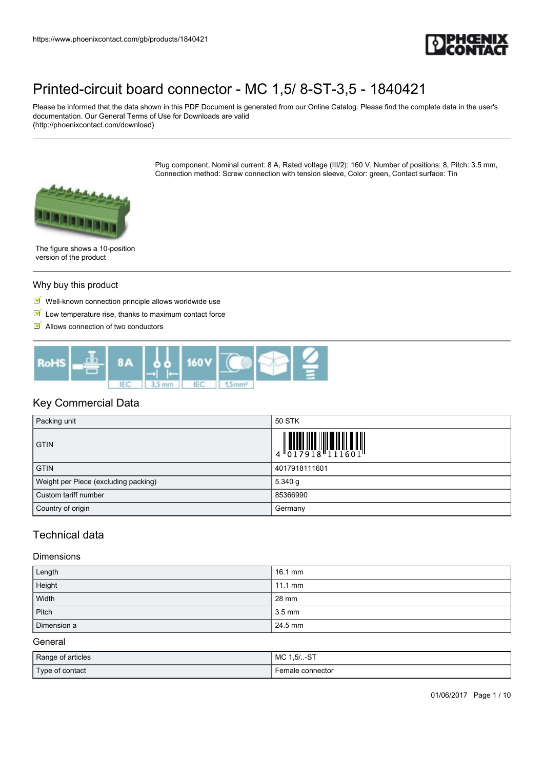

Please be informed that the data shown in this PDF Document is generated from our Online Catalog. Please find the complete data in the user's documentation. Our General Terms of Use for Downloads are valid (http://phoenixcontact.com/download)

> Plug component, Nominal current: 8 A, Rated voltage (III/2): 160 V, Number of positions: 8, Pitch: 3.5 mm, Connection method: Screw connection with tension sleeve, Color: green, Contact surface: Tin



The figure shows a 10-position version of the product

#### Why buy this product

- $\blacksquare$  Well-known connection principle allows worldwide use
- $\blacksquare$  Low temperature rise, thanks to maximum contact force
- $\blacksquare$  Allows connection of two conductors



### Key Commercial Data

| Packing unit                         | 50 STK                                                                                                                                                                                                                                                                                                                                                                                                                                                                                                                                                                                |
|--------------------------------------|---------------------------------------------------------------------------------------------------------------------------------------------------------------------------------------------------------------------------------------------------------------------------------------------------------------------------------------------------------------------------------------------------------------------------------------------------------------------------------------------------------------------------------------------------------------------------------------|
| <b>GTIN</b>                          | $\begin{array}{c} \begin{array}{c} \begin{array}{c} \begin{array}{c} \end{array}\\ \begin{array}{c} \end{array}\\ \begin{array}{c} \end{array}\\ \begin{array}{c} \end{array}\\ \begin{array}{c} \end{array}\\ \begin{array}{c} \end{array}\\ \begin{array}{c} \end{array}\\ \begin{array}{c} \end{array}\\ \begin{array}{c} \end{array}\\ \begin{array}{c} \end{array}\\ \begin{array}{c} \end{array}\\ \begin{array}{c} \end{array}\\ \begin{array}{c} \end{array}\\ \begin{array}{c} \end{array}\\ \begin{array}{c} \end{array}\\ \begin{array}{c} \end{array}\\ \begin{array}{c}$ |
| <b>GTIN</b>                          | 4017918111601                                                                                                                                                                                                                                                                                                                                                                                                                                                                                                                                                                         |
| Weight per Piece (excluding packing) | 5.340 g                                                                                                                                                                                                                                                                                                                                                                                                                                                                                                                                                                               |
| Custom tariff number                 | 85366990                                                                                                                                                                                                                                                                                                                                                                                                                                                                                                                                                                              |
| Country of origin                    | Germany                                                                                                                                                                                                                                                                                                                                                                                                                                                                                                                                                                               |

## Technical data

#### Dimensions

| Length      | 16.1 mm           |
|-------------|-------------------|
| Height      | $11.1 \text{ mm}$ |
| Width       | 28 mm             |
| Pitch       | 3.5 mm            |
| Dimension a | 24.5 mm           |

General

| Range of articles | MC 1,5/-ST       |
|-------------------|------------------|
| Type of contact   | Female connector |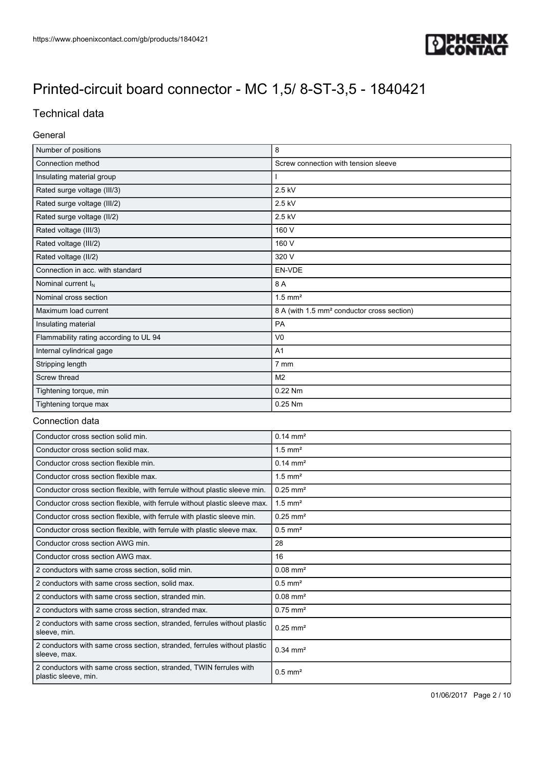

## Technical data

### General

| Number of positions                    | 8                                                      |
|----------------------------------------|--------------------------------------------------------|
| Connection method                      | Screw connection with tension sleeve                   |
| Insulating material group              |                                                        |
| Rated surge voltage (III/3)            | 2.5 kV                                                 |
| Rated surge voltage (III/2)            | 2.5 kV                                                 |
| Rated surge voltage (II/2)             | 2.5 kV                                                 |
| Rated voltage (III/3)                  | 160 V                                                  |
| Rated voltage (III/2)                  | 160 V                                                  |
| Rated voltage (II/2)                   | 320 V                                                  |
| Connection in acc. with standard       | EN-VDE                                                 |
| Nominal current $I_N$                  | 8 A                                                    |
| Nominal cross section                  | $1.5$ mm <sup>2</sup>                                  |
| Maximum load current                   | 8 A (with 1.5 mm <sup>2</sup> conductor cross section) |
| Insulating material                    | PA                                                     |
| Flammability rating according to UL 94 | V <sub>0</sub>                                         |
| Internal cylindrical gage              | A1                                                     |
| Stripping length                       | 7 mm                                                   |
| Screw thread                           | M <sub>2</sub>                                         |
| Tightening torque, min                 | 0.22 Nm                                                |
| Tightening torque max                  | 0.25 Nm                                                |

#### Connection data

| Conductor cross section solid min.                                                         | $0.14 \text{ mm}^2$    |  |
|--------------------------------------------------------------------------------------------|------------------------|--|
| Conductor cross section solid max.                                                         | $1.5$ mm <sup>2</sup>  |  |
| Conductor cross section flexible min.                                                      | $0.14 \text{ mm}^2$    |  |
| Conductor cross section flexible max.                                                      | $1.5$ mm <sup>2</sup>  |  |
| Conductor cross section flexible, with ferrule without plastic sleeve min.                 | $0.25$ mm <sup>2</sup> |  |
| Conductor cross section flexible, with ferrule without plastic sleeve max.                 | $1.5$ mm <sup>2</sup>  |  |
| Conductor cross section flexible, with ferrule with plastic sleeve min.                    | $0.25$ mm <sup>2</sup> |  |
| Conductor cross section flexible, with ferrule with plastic sleeve max.                    | $0.5$ mm <sup>2</sup>  |  |
| Conductor cross section AWG min.                                                           | 28                     |  |
| Conductor cross section AWG max.                                                           | 16                     |  |
| 2 conductors with same cross section, solid min.                                           | $0.08$ mm <sup>2</sup> |  |
| 2 conductors with same cross section, solid max.                                           | $0.5$ mm <sup>2</sup>  |  |
| 2 conductors with same cross section, stranded min.                                        | $0.08$ mm <sup>2</sup> |  |
| 2 conductors with same cross section, stranded max.                                        | $0.75$ mm <sup>2</sup> |  |
| 2 conductors with same cross section, stranded, ferrules without plastic<br>sleeve, min.   | $0.25$ mm <sup>2</sup> |  |
| 2 conductors with same cross section, stranded, ferrules without plastic<br>sleeve, max.   | $0.34$ mm <sup>2</sup> |  |
| 2 conductors with same cross section, stranded, TWIN ferrules with<br>plastic sleeve, min. | $0.5$ mm <sup>2</sup>  |  |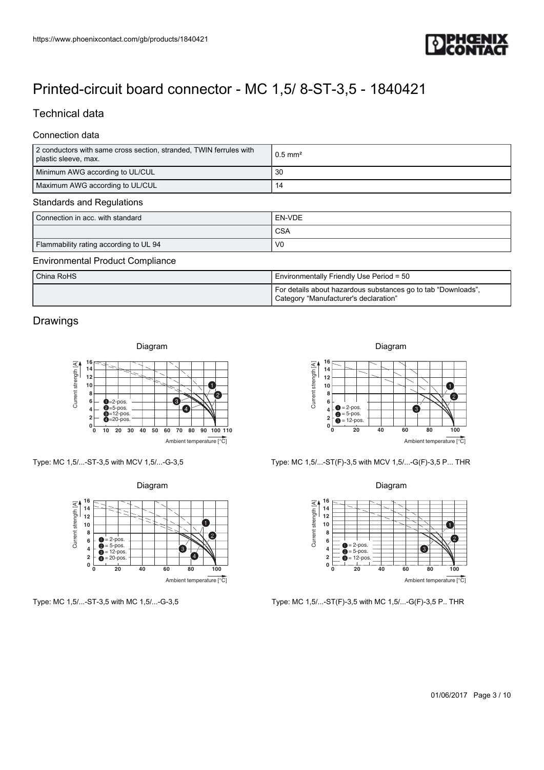

## Technical data

#### Connection data

| https://www.phoenixcontact.com/gb/products/1840421                                                                                                                                                                                                                                                                                                                                                                                                                   |                                                                                                                                                                                                                                                                    |
|----------------------------------------------------------------------------------------------------------------------------------------------------------------------------------------------------------------------------------------------------------------------------------------------------------------------------------------------------------------------------------------------------------------------------------------------------------------------|--------------------------------------------------------------------------------------------------------------------------------------------------------------------------------------------------------------------------------------------------------------------|
| Printed-circuit board connector - MC 1,5/8-ST-3,5 - 1840421                                                                                                                                                                                                                                                                                                                                                                                                          |                                                                                                                                                                                                                                                                    |
| <b>Technical data</b>                                                                                                                                                                                                                                                                                                                                                                                                                                                |                                                                                                                                                                                                                                                                    |
| Connection data<br>2 conductors with same cross section, stranded, TWIN ferrules with<br>plastic sleeve, max.                                                                                                                                                                                                                                                                                                                                                        | $0.5$ mm <sup>2</sup>                                                                                                                                                                                                                                              |
| Minimum AWG according to UL/CUL<br>Maximum AWG according to UL/CUL                                                                                                                                                                                                                                                                                                                                                                                                   | 30<br>14                                                                                                                                                                                                                                                           |
| <b>Standards and Regulations</b><br>Connection in acc. with standard                                                                                                                                                                                                                                                                                                                                                                                                 | EN-VDE                                                                                                                                                                                                                                                             |
|                                                                                                                                                                                                                                                                                                                                                                                                                                                                      | <b>CSA</b>                                                                                                                                                                                                                                                         |
| Flammability rating according to UL 94<br><b>Environmental Product Compliance</b>                                                                                                                                                                                                                                                                                                                                                                                    | V <sub>0</sub>                                                                                                                                                                                                                                                     |
| China RoHS                                                                                                                                                                                                                                                                                                                                                                                                                                                           | Environmentally Friendly Use Period = 50                                                                                                                                                                                                                           |
|                                                                                                                                                                                                                                                                                                                                                                                                                                                                      | For details about hazardous substances go to tab "Downloads",<br>Category "Manufacturer's declaration"                                                                                                                                                             |
| Drawings                                                                                                                                                                                                                                                                                                                                                                                                                                                             |                                                                                                                                                                                                                                                                    |
|                                                                                                                                                                                                                                                                                                                                                                                                                                                                      | Diagram                                                                                                                                                                                                                                                            |
| Diagram                                                                                                                                                                                                                                                                                                                                                                                                                                                              |                                                                                                                                                                                                                                                                    |
| 16 <sub>F</sub><br>Current strength [A]<br>14<br>12<br>10<br>8<br>2<br>❸<br>6 <sup>2</sup><br>$Q=2-pos.$<br>$\overline{0}$ =5-pos.<br>$\overline{0}$ =12-pos.<br>-0<br>$4+$<br>2 <sup>1</sup><br>$0\overline{\hspace{1cm}0\hspace{1cm}10\hspace{1cm}20\hspace{1cm}30\hspace{1cm}40\hspace{1cm}50}}$<br>60 70 80 90 100 110<br>Ambient temperature [°C]                                                                                                               | 16<br>Current strength [A]<br>14<br>12<br>$\bullet$<br>10<br>8<br>$\bullet$<br>6<br>$\bullet = 2$ -pos.<br>$\bullet = 5$ -pos.<br>$\bullet = 12$ -pos.<br>6<br>4<br>2 <br>$0\frac{L}{0}$<br>20<br>40<br>60<br>80<br>100<br>Ambient temperature [°C]                |
|                                                                                                                                                                                                                                                                                                                                                                                                                                                                      | Type: MC 1,5/-ST(F)-3,5 with MCV 1,5/-G(F)-3,5 P THR                                                                                                                                                                                                               |
| Diagram<br>$\begin{array}{c} \n\sqrt{2} \\ \hline\n\end{array}$ 16<br>$\begin{array}{c} 16 \\ \hline\n14 \\ \hline\n12 \\ \hline\n10 \\ 8 \\ 6 \\ 6 \\ 4\n\end{array}$<br>0<br>$\boldsymbol{c}$<br>$\bullet = 2$ -pos.<br>$\bullet = 5$ -pos.<br>$\bullet = 12$ -pos.<br>$\bullet = 20$ -pos.<br>❸<br>$\overline{4}$<br>Ø<br>$\overline{\mathbf{2}}$<br>$\begin{smallmatrix}0&&\&0\end{smallmatrix}$<br>$\overline{40}$<br>80<br>$\frac{1}{100}$<br>${\bf 20}$<br>60 | Diagram<br>16<br>Current strength [A]<br>$14$<br>12<br>$\bullet$<br>10<br>8<br>2<br>6<br>$\bullet$ = 2-pos.<br>$\bullet$ = 5-pos.<br>$\bullet$<br>4<br>$\overline{\mathbf{2}}$<br>$\bullet$ = 12-pos.<br>$0\frac{L}{0}$<br>20<br>40<br>80<br>$\frac{1}{100}$<br>60 |
| Type: MC 1,5/-ST-3,5 with MCV 1,5/-G-3,5<br>Ambient temperature [°C]<br>Type: MC 1,5/-ST-3,5 with MC 1,5/-G-3,5                                                                                                                                                                                                                                                                                                                                                      | Ambient temperature [°C]<br>Type: MC 1,5/-ST(F)-3,5 with MC 1,5/-G(F)-3,5 P THR                                                                                                                                                                                    |
|                                                                                                                                                                                                                                                                                                                                                                                                                                                                      |                                                                                                                                                                                                                                                                    |
|                                                                                                                                                                                                                                                                                                                                                                                                                                                                      | 01/06/2017 Page 3 / 10                                                                                                                                                                                                                                             |

## For details about hazardous substances go to tab "Downloads", Category "Manufacturer's declaration"

### Drawings





Type: MC 1,5/...-ST-3,5 with MC 1,5/...-G-3,5





Type: MC 1,5/...-ST(F)-3,5 with MC 1,5/...-G(F)-3,5 P.. THR

Diagram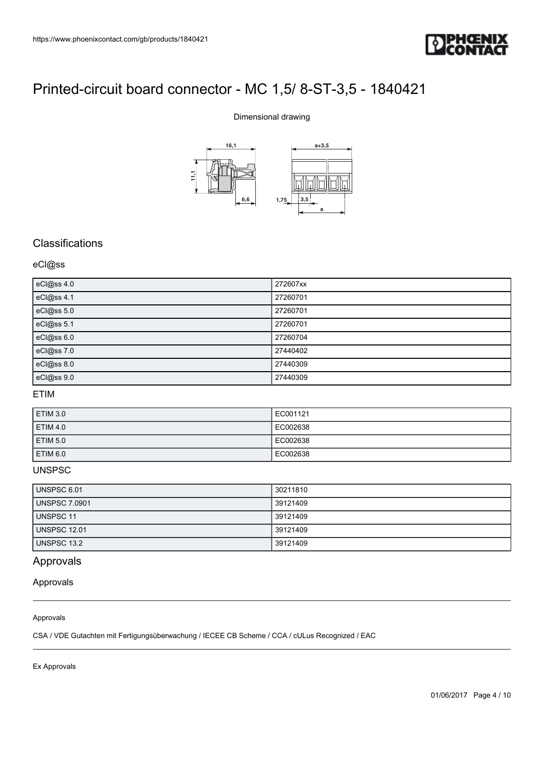

### Dimensional drawing



## **Classifications**

### eCl@ss

| eCl@ss 4.0 | 272607xx |
|------------|----------|
| eCl@ss 4.1 | 27260701 |
| eCl@ss 5.0 | 27260701 |
| eCl@ss 5.1 | 27260701 |
| eCl@ss 6.0 | 27260704 |
| eCl@ss 7.0 | 27440402 |
| eCl@ss 8.0 | 27440309 |
| eCl@ss 9.0 | 27440309 |

#### ETIM

| <b>ETIM 3.0</b> | EC001121 |
|-----------------|----------|
| <b>ETIM 4.0</b> | EC002638 |
| <b>ETIM 5.0</b> | EC002638 |
| ETIM 6.0        | EC002638 |

#### UNSPSC

| <b>UNSPSC 6.01</b>   | 30211810 |
|----------------------|----------|
| <b>UNSPSC 7.0901</b> | 39121409 |
| UNSPSC 11            | 39121409 |
| <b>UNSPSC 12.01</b>  | 39121409 |
| UNSPSC 13.2          | 39121409 |

## Approvals

#### Approvals

#### Approvals

CSA / VDE Gutachten mit Fertigungsüberwachung / IECEE CB Scheme / CCA / cULus Recognized / EAC

Ex Approvals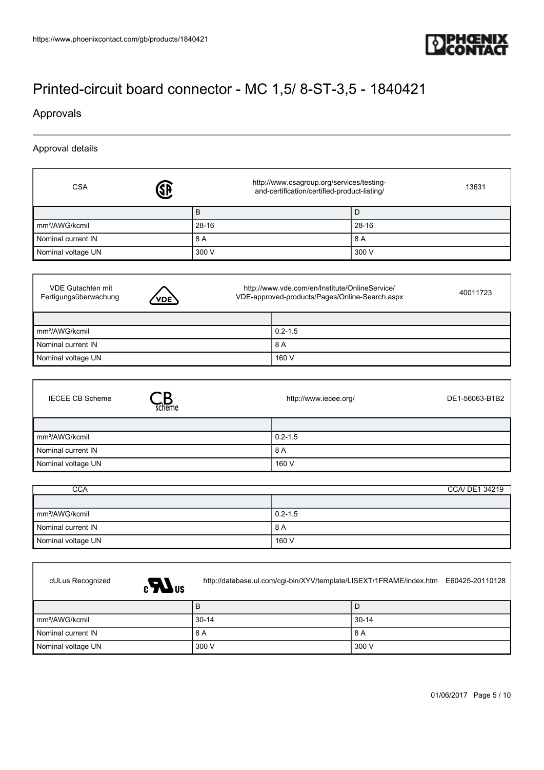

### Approvals

- I

Approval details

| <b>CSA</b>                 | http://www.csagroup.org/services/testing-<br>and-certification/certified-product-listing/ | 13631 |
|----------------------------|-------------------------------------------------------------------------------------------|-------|
|                            | B                                                                                         |       |
| mm <sup>2</sup> /AWG/kcmil | 28-16                                                                                     | 28-16 |
| Nominal current IN         | 8 A                                                                                       | 8 A   |
| Nominal voltage UN         | 300 V                                                                                     | 300 V |
|                            |                                                                                           |       |

| VDE Gutachten mit<br>Fertigungsüberwachung | <b>VDE</b> | http://www.vde.com/en/Institute/OnlineService/<br>VDE-approved-products/Pages/Online-Search.aspx |             | 40011723 |
|--------------------------------------------|------------|--------------------------------------------------------------------------------------------------|-------------|----------|
|                                            |            |                                                                                                  |             |          |
| mm <sup>2</sup> /AWG/kcmil                 |            |                                                                                                  | $0.2 - 1.5$ |          |
| Nominal current IN                         |            |                                                                                                  | 8 A         |          |
| Nominal voltage UN                         |            |                                                                                                  | 160 V       |          |

| <b>IECEE CB Scheme</b><br>scheme | http://www.iecee.org/<br>DE1-56063-B1B2 |
|----------------------------------|-----------------------------------------|
|                                  |                                         |
| mm <sup>2</sup> /AWG/kcmil       | $0.2 - 1.5$                             |
| Nominal current IN               | 8 A                                     |
| Nominal voltage UN               | 160 V                                   |

| <b>CCA</b>                 | CCA/ DE1 34219 |
|----------------------------|----------------|
|                            |                |
| mm <sup>2</sup> /AWG/kcmil | $0.2 - 1.5$    |
| I Nominal current IN       | 8 A            |
| Nominal voltage UN         | 160 V          |



cULus Recognized <http://database.ul.com/cgi-bin/XYV/template/LISEXT/1FRAME/index.htm> E60425-20110128

|                            | Ð       | ┗       |
|----------------------------|---------|---------|
| mm <sup>2</sup> /AWG/kcmil | $30-14$ | ' 30-14 |
| Nominal current IN         | 8 A     | 8 A     |
| Nominal voltage UN         | 300 V   | 300 V   |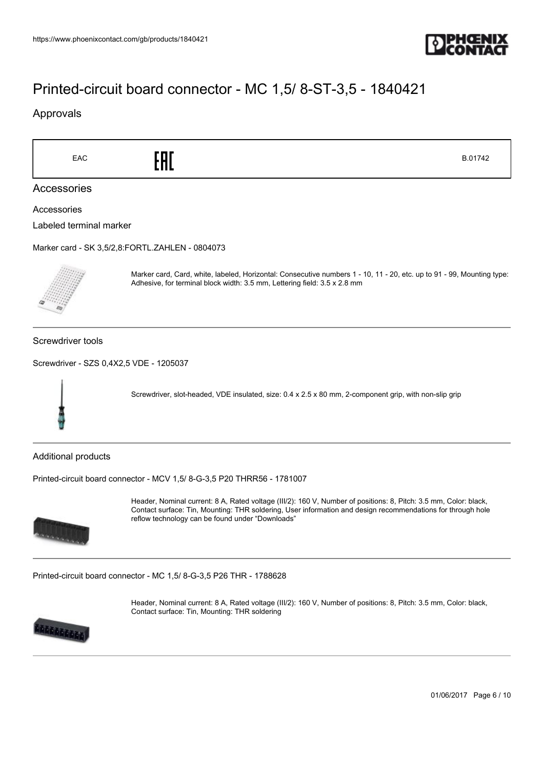

### Approvals



01/06/2017 Page 6 / 10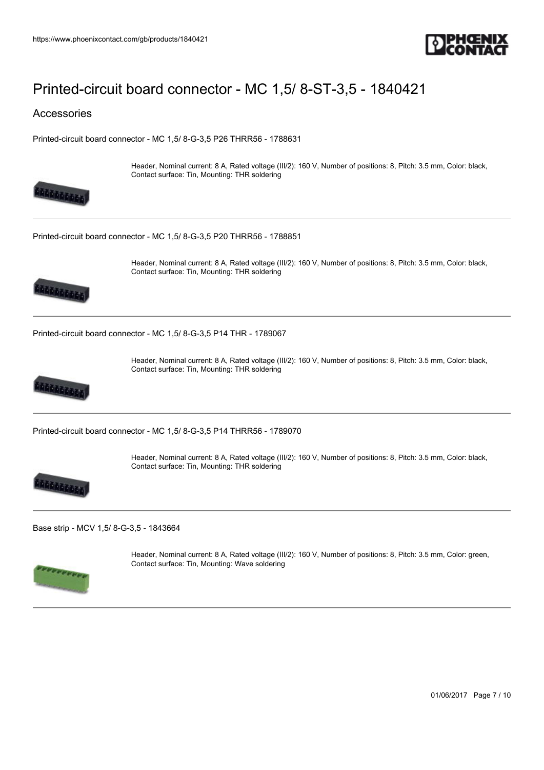

### Accessories

[Printed-circuit board connector - MC 1,5/ 8-G-3,5 P26 THRR56 - 1788631](https://www.phoenixcontact.com/gb/products/1788631)



Header, Nominal current: 8 A, Rated voltage (III/2): 160 V, Number of positions: 8, Pitch: 3.5 mm, Color: black, Contact surface: Tin, Mounting: THR soldering

Header, Nominal current: 8 A, Rated voltage (III/2): 160 V, Number of positions: 8, Pitch: 3.5 mm, Color: black,

[Printed-circuit board connector - MC 1,5/ 8-G-3,5 P20 THRR56 - 1788851](https://www.phoenixcontact.com/gb/products/1788851)



[Printed-circuit board connector - MC 1,5/ 8-G-3,5 P14 THR - 1789067](https://www.phoenixcontact.com/gb/products/1789067)

Contact surface: Tin, Mounting: THR soldering



Header, Nominal current: 8 A, Rated voltage (III/2): 160 V, Number of positions: 8, Pitch: 3.5 mm, Color: black, Contact surface: Tin, Mounting: THR soldering

[Printed-circuit board connector - MC 1,5/ 8-G-3,5 P14 THRR56 - 1789070](https://www.phoenixcontact.com/gb/products/1789070)



Header, Nominal current: 8 A, Rated voltage (III/2): 160 V, Number of positions: 8, Pitch: 3.5 mm, Color: black, Contact surface: Tin, Mounting: THR soldering

[Base strip - MCV 1,5/ 8-G-3,5 - 1843664](https://www.phoenixcontact.com/gb/products/1843664)



Header, Nominal current: 8 A, Rated voltage (III/2): 160 V, Number of positions: 8, Pitch: 3.5 mm, Color: green, Contact surface: Tin, Mounting: Wave soldering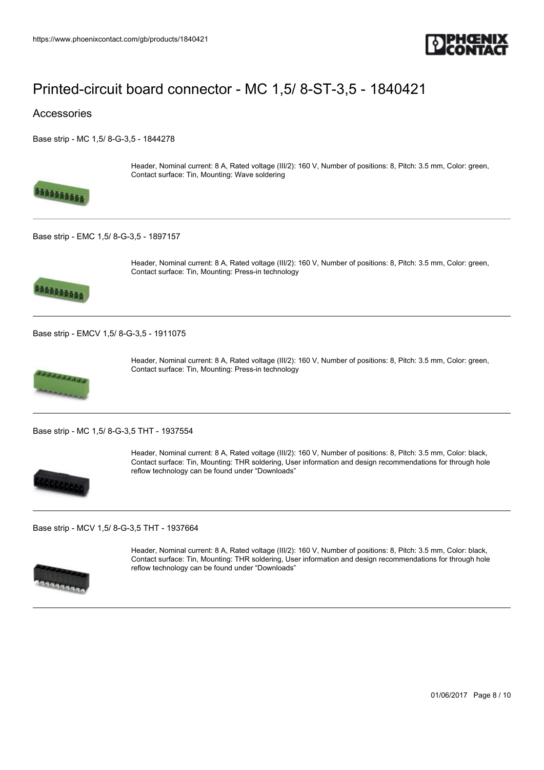

### Accessories

[Base strip - MC 1,5/ 8-G-3,5 - 1844278](https://www.phoenixcontact.com/gb/products/1844278)



Header, Nominal current: 8 A, Rated voltage (III/2): 160 V, Number of positions: 8, Pitch: 3.5 mm, Color: green, Contact surface: Tin, Mounting: Wave soldering

[Base strip - EMC 1,5/ 8-G-3,5 - 1897157](https://www.phoenixcontact.com/gb/products/1897157)



Header, Nominal current: 8 A, Rated voltage (III/2): 160 V, Number of positions: 8, Pitch: 3.5 mm, Color: green, Contact surface: Tin, Mounting: Press-in technology

[Base strip - EMCV 1,5/ 8-G-3,5 - 1911075](https://www.phoenixcontact.com/gb/products/1911075)



Header, Nominal current: 8 A, Rated voltage (III/2): 160 V, Number of positions: 8, Pitch: 3.5 mm, Color: green, Contact surface: Tin, Mounting: Press-in technology

[Base strip - MC 1,5/ 8-G-3,5 THT - 1937554](https://www.phoenixcontact.com/gb/products/1937554)



Header, Nominal current: 8 A, Rated voltage (III/2): 160 V, Number of positions: 8, Pitch: 3.5 mm, Color: black, Contact surface: Tin, Mounting: THR soldering, User information and design recommendations for through hole reflow technology can be found under "Downloads"

[Base strip - MCV 1,5/ 8-G-3,5 THT - 1937664](https://www.phoenixcontact.com/gb/products/1937664)



Header, Nominal current: 8 A, Rated voltage (III/2): 160 V, Number of positions: 8, Pitch: 3.5 mm, Color: black, Contact surface: Tin, Mounting: THR soldering, User information and design recommendations for through hole reflow technology can be found under "Downloads"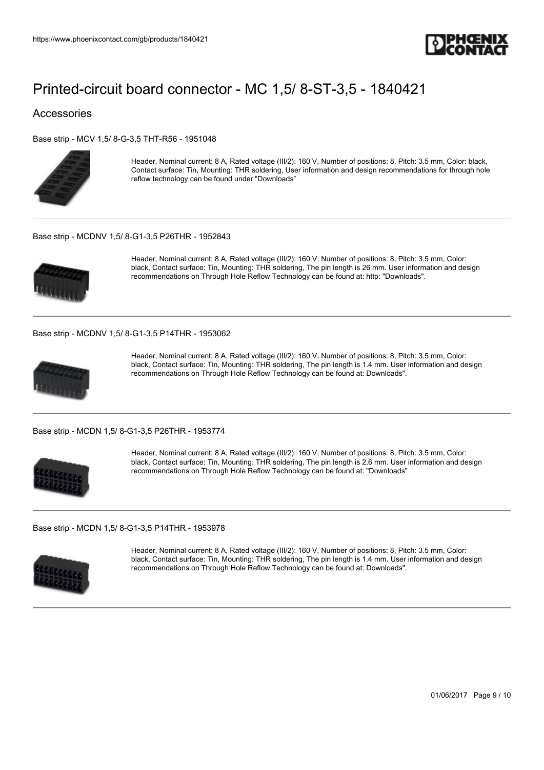

### Accessories

[Base strip - MCV 1,5/ 8-G-3,5 THT-R56 - 1951048](https://www.phoenixcontact.com/gb/products/1951048)



Header, Nominal current: 8 A, Rated voltage (III/2): 160 V, Number of positions: 8, Pitch: 3.5 mm, Color: black, Contact surface: Tin, Mounting: THR soldering, User information and design recommendations for through hole reflow technology can be found under "Downloads"

#### [Base strip - MCDNV 1,5/ 8-G1-3,5 P26THR - 1952843](https://www.phoenixcontact.com/gb/products/1952843)



Header, Nominal current: 8 A, Rated voltage (III/2): 160 V, Number of positions: 8, Pitch: 3.5 mm, Color: black, Contact surface: Tin, Mounting: THR soldering, The pin length is 26 mm. User information and design recommendations on Through Hole Reflow Technology can be found at: http: "Downloads".

#### [Base strip - MCDNV 1,5/ 8-G1-3,5 P14THR - 1953062](https://www.phoenixcontact.com/gb/products/1953062)



Header, Nominal current: 8 A, Rated voltage (III/2): 160 V, Number of positions: 8, Pitch: 3.5 mm, Color: black, Contact surface: Tin, Mounting: THR soldering, The pin length is 1.4 mm. User information and design recommendations on Through Hole Reflow Technology can be found at: Downloads".

#### [Base strip - MCDN 1,5/ 8-G1-3,5 P26THR - 1953774](https://www.phoenixcontact.com/gb/products/1953774)



Header, Nominal current: 8 A, Rated voltage (III/2): 160 V, Number of positions: 8, Pitch: 3.5 mm, Color: black, Contact surface: Tin, Mounting: THR soldering, The pin length is 2.6 mm. User information and design recommendations on Through Hole Reflow Technology can be found at: "Downloads"

#### [Base strip - MCDN 1,5/ 8-G1-3,5 P14THR - 1953978](https://www.phoenixcontact.com/gb/products/1953978)



Header, Nominal current: 8 A, Rated voltage (III/2): 160 V, Number of positions: 8, Pitch: 3.5 mm, Color: black, Contact surface: Tin, Mounting: THR soldering, The pin length is 1.4 mm. User information and design recommendations on Through Hole Reflow Technology can be found at: Downloads".